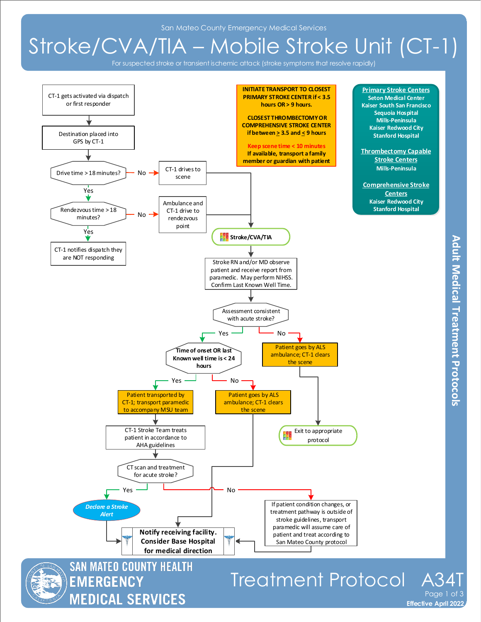San Mateo County Emergency Medical Services

## Stroke/CVA/TIA – Mobile Stroke Unit (CT-1)

For suspected stroke or transient ischemic attack (stroke symptoms that resolve rapidly)

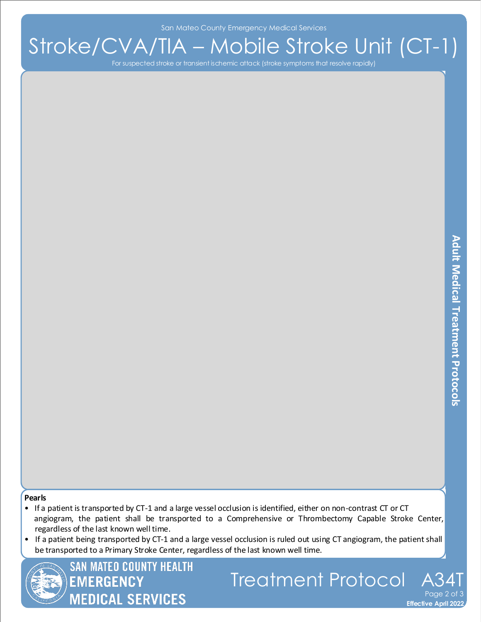San Mateo County Emergency Medical Services

## Stroke/CVA/TIA – Mobile Stroke Unit (CT-1)

For suspected stroke or transient ischemic attack (stroke symptoms that resolve rapidly)

**Effective April 2022** 

Page 2 of 3

## **Pearls**

- If a patient is transported by CT-1 and a large vessel occlusion is identified, either on non-contrast CT or CT angiogram, the patient shall be transported to a Comprehensive or Thrombectomy Capable Stroke Center, regardless of the last known well time.
- If a patient being transported by CT-1 and a large vessel occlusion is ruled out using CT angiogram, the patient shall be transported to a Primary Stroke Center, regardless of the last known well time.

Treatment Protocol